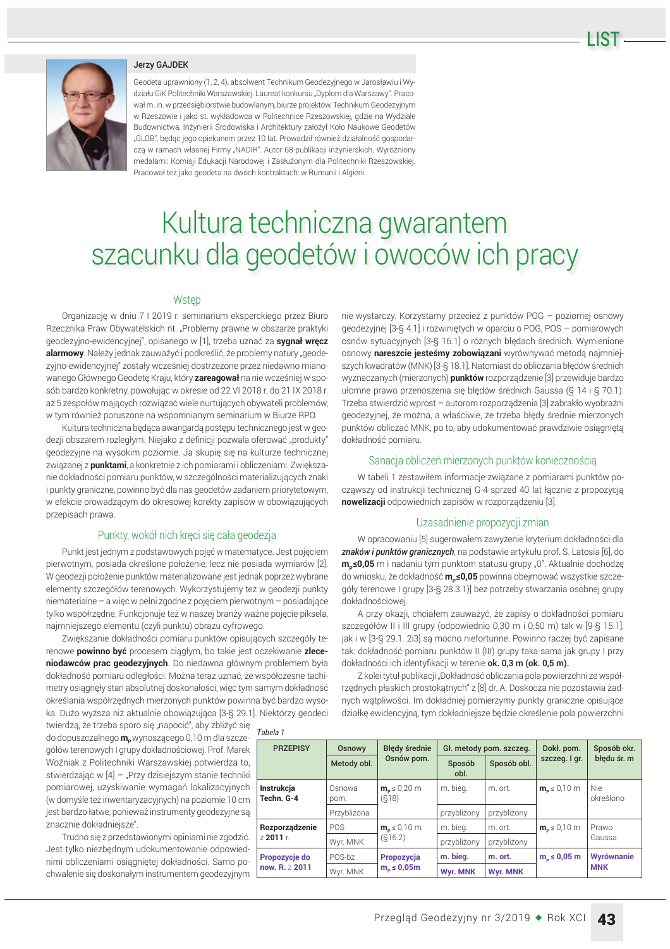#### Jerzy GAJDEK

Geodeta uprawniony (1, 2, 4), absolwent Technikum Geodezyjnego w Jarosławiu i Wydziału GiK Politechniki Warszawskiej. Laureat konkursu "Dyplom dla Warszawy". Pracował m. in. w przedsiębiorstwie budowlanym, biurze projektów, Technikum Geodezyjnym w Rzeszowie i jako st. wykładowca w Politechnice Rzeszowskiej, gdzie na Wydziale Budownictwa, Inżynierii Środowiska i Architektury założył Koło Naukowe Geodetów "GLOB", będąc jego opiekunem przez 10 lat. Prowadził również działalność gospodarczą w ramach własnej Firmy "NADIR". Autor 68 publikacji inżynierskich. Wyróżniony medalami: Komisji Edukacji Narodowej i Zasłużonym dla Politechniki Rzeszowskiej. Pracował też jako geodeta na dwóch kontraktach: w Rumunii i Algierii.

# Kultura techniczna gwarantem szacunku dla geodetów i owoców ich pracy

#### Wstep

Organizacje w dniu 7 I 2019 r. seminarium eksperckiego przez Biuro Rzecznika Praw Obywatelskich nt. "Problemy prawne w obszarze praktyki geodezyjno-ewidencyjnej", opisanego w [1], trzeba uznać za **sygnał wręcz** alarmowy. Należy jednak zauważyć i podkreślić, że problemy natury "geodezyjno-ewidencyjnej" zostały wcześniej dostrzeżone przez niedawno mianowanego Głównego Geodetę Kraju, który zareagował na nie wcześniej w sposób bardzo konkretny, powołując w okresie od 22 VI 2018 r. do 21 IX 2018 r. aż 5 zespołów mających rozwiązać wiele nurtujących obywateli problemów, w tym również poruszone na wspomnianym seminarium w Biurze RPO.

Kultura techniczna będąca awangardą postępu technicznego jest w geodezji obszarem rozległym. Niejako z definicji pozwala oferować "produkty" aeodezvine na wysokim poziomie. Ja skupie się na kulturze technicznej związanej z **punktami**, a konkretnie z ich pomiarami i obliczeniami. Zwiększanie dokładności pomiaru punktów, w szczególności materializujących znaki i punkty graniczne, powinno być dla nas geodetów zadaniem priorytetowym, w efekcie prowadzącym do okresowej korekty zapisów w obowiązujących przepisach prawa.

## Punkty, wokół nich kręci się cała geodezja

Punkt jest jednym z podstawowych pojęć w matematyce. Jest pojęciem pierwotnym, posiada określone położenie, lecz nie posiada wymiarów [2]. W geodezji położenie punktów materializowane jest jednak poprzez wybrane elementy szczegółów terenowych. Wykorzystujemy też w geodezji punkty  $n$ iematerialne – a wiec w pełni zgodne z pojeciem pierwotnym – posiadające tylko współrzędne. Funkcjonuje też w naszej branży ważne pojęcie piksela, najmniejszego elementu (czyli punktu) obrazu cyfrowego.

Zwiększanie dokładności pomiaru punktów opisujących szczegóły terenowe **powinno być** procesem ciągłym, bo takie jest oczekiwanie zleceniodawców prac geodezyjnych. Do niedawna głównym problemem była dokładność pomiaru odległości. Można teraz uznać, że współczesne tachimetry osiągnęły stan absolutnej doskonałości, więc tym samym dokładność określania współrzędnych mierzonych punktów powinna być bardzo wysoka. Dużo wyższa niż aktualnie obowiązująca [3-§ 29.1]. Niektórzy geodeci

twierdzą, że trzeba sporo się "napocić", aby zbliżyć się do dopuszczalnego m<sub>p</sub>wynoszącego 0,10 m dla szczegółów terenowych I grupy dokładnościowej. Prof. Marek Woźniak z Politechniki Warszawskiej potwierdza to, stwierdzając w  $[4]$  – "Przy dzisiejszym stanie techniki pomiarowej, uzyskiwanie wymagań lokalizacyjnych (w domyśle też inwentaryzacyjnych) na poziomie 10 cm jest bardzo łatwe, ponieważ instrumenty geodezyjne są znacznie dokładniejsze".

Trudno się z przedstawionymi opiniami nie zgodzić. Jest tylko niezbędnym udokumentowanie odpowiednimi obliczeniami osiągniętej dokładności. Samo pochwalenie się doskonałym instrumentem geodezyjnym nie wystarczy. Korzystamy przecież z punktów POG – poziomej osnowy geodezyjnej [3-§ 4.1] i rozwiniętych w oparciu o POG, POS - pomiarowych osnów sytuacyjnych [3-§ 16.1] o różnych błędach średnich. Wymienione osnowy nareszcie jesteśmy zobowiązani wyrównywać metodą najmniejszych kwadratów (MNK) [3-§ 18.1]. Natomiast do obliczania błędów średnich wyznaczanych (mierzonych) **punktów** rozporządzenie [3] przewiduje bardzo ułomne prawo przenoszenia się błędów średnich Gaussa (§ 14 i § 70.1). Trzeba stwierdzić wprost - autorom rozporządzenia [3] zabrakło wyobraźni geodezvinei, że można, a właściwie, że trzeba błedy średnie mierzonych punktów obliczać MNK, po to, aby udokumentować prawdziwie osiągniętą dokładność pomiaru.

## Sanacja obliczeń mierzonych punktów koniecznością

W tabeli 1 zestawiłem informacje związane z pomiarami punktów począwszy od instrukcji technicznej G-4 sprzed 40 lat łącznie z propozycją **nowelizacji** odpowiednich zapisów w rozporządzeniu [3].

## Uzasadnienie propozycji zmian

W opracowaniu [5] sugerowałem zawyżenie kryterium dokładności dla znaków i punktów granicznych, na podstawie artykułu prof. S. Latosia [6], do **m<sub>p</sub>≤0,05** m i nadaniu tym punktom statusu grupy "0". Aktualnie dochodzę do wniosku, że dokładność **m<sub>P</sub>≤0,05** powinna obejmować wszystkie szczegóły terenowe I grupy [3-§ 28.3.1)] bez potrzeby stwarzania osobnej grupy dokładnościowei.

A przy okazji, chciałem zauważyć, że zapisy o dokładności pomiaru szczegółów II i III grupy (odpowiednio 0,30 m i 0,50 m) tak w [9-§ 15.1], jak i w [3-§ 29.1. 2i3] są mocno niefortunne. Powinno raczej być zapisane tak: dokładność pomiaru punktów II (III) grupy taka sama jak grupy I przy dokładności ich identyfikacji w terenie ok. 0,3 m (ok. 0,5 m).

Z kolei tytuł publikacji "Dokładność obliczania pola powierzchni ze współrzędnych płaskich prostokątnych" z [8] dr. A. Doskocza nie pozostawia żadnych wątpliwości. Im dokładniej pomierzymy punkty graniczne opisujące działkę ewidencyjną, tym dokładniejsze będzie określenie pola powierzchni

| <b>PRZEPISY</b>                 | Osnowy         | <b>Błedy średnie</b>               | Gł. metody pom. szczeg. |                 | Dokł. pom.              | Sposób okr.              |
|---------------------------------|----------------|------------------------------------|-------------------------|-----------------|-------------------------|--------------------------|
|                                 | Metody obl.    | Osnów pom.                         | Sposób<br>obl.          | Sposób obl.     | szczeg. I gr.           | błędu śr. m              |
| Instrukcja<br>Techn. G-4        | Osnowa<br>pom. | $mb \leq 0.20$ m<br>(S18)          | m. bieg.                | m. ort.         | $mp \leq 0.10$ m        | Nie.<br>określono        |
|                                 | Przybliżona    |                                    | przybliżony             | przybliżony     |                         |                          |
| Rozporządzenie<br>72011r        | POS            | $m_{\rm p} \leq 0.10$ m<br>(S16.2) | m. bieg.                | m. ort.         | $m_{\rm p} \leq 0.10$ m | Prawo<br>Gaussa          |
|                                 | Wyr. MNK       |                                    | przybliżony             | przybliżony     |                         |                          |
| Propozycje do<br>now. R. 7 2011 | POS-bz         | Propozycja<br>$mo \leq 0,05m$      | m. bieg.                | m. ort.         | $m_{\rm o} \leq 0.05$ m | Wyrównanie<br><b>MNK</b> |
|                                 | Wyr. MNK       |                                    | <b>Wyr. MNK</b>         | <b>Wyr. MNK</b> |                         |                          |

*Tabela 1*